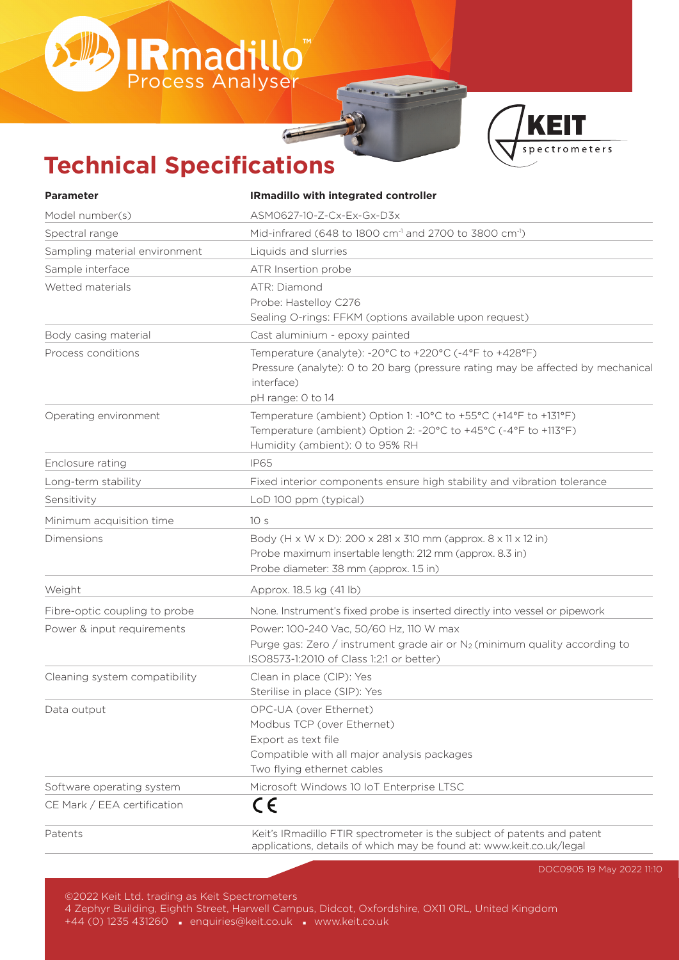# **Technical Specifications**

IRmadillo<sup>"</sup>

| <b>Parameter</b>              | <b>IRmadillo with integrated controller</b>                                     |
|-------------------------------|---------------------------------------------------------------------------------|
| Model number(s)               | ASM0627-10-Z-Cx-Ex-Gx-D3x                                                       |
| Spectral range                | Mid-infrared (648 to 1800 cm <sup>-1</sup> and 2700 to 3800 cm <sup>-1</sup> )  |
| Sampling material environment | Liquids and slurries                                                            |
| Sample interface              | ATR Insertion probe                                                             |
| Wetted materials              | ATR: Diamond                                                                    |
|                               | Probe: Hastelloy C276                                                           |
|                               | Sealing O-rings: FFKM (options available upon request)                          |
| Body casing material          | Cast aluminium - epoxy painted                                                  |
| Process conditions            | Temperature (analyte): -20°C to +220°C (-4°F to +428°F)                         |
|                               | Pressure (analyte): 0 to 20 barg (pressure rating may be affected by mechanical |
|                               | interface)                                                                      |
|                               | pH range: 0 to 14                                                               |
| Operating environment         | Temperature (ambient) Option 1: -10°C to +55°C (+14°F to +131°F)                |
|                               | Temperature (ambient) Option 2: -20°C to +45°C (-4°F to +113°F)                 |
|                               | Humidity (ambient): 0 to 95% RH                                                 |
| Enclosure rating              | <b>IP65</b>                                                                     |
| Long-term stability           | Fixed interior components ensure high stability and vibration tolerance         |
| Sensitivity                   | LoD 100 ppm (typical)                                                           |
| Minimum acquisition time      | 10 <sub>s</sub>                                                                 |
| Dimensions                    | Body (H x W x D): 200 x 281 x 310 mm (approx. 8 x 11 x 12 in)                   |
|                               | Probe maximum insertable length: 212 mm (approx. 8.3 in)                        |
|                               | Probe diameter: 38 mm (approx. 1.5 in)                                          |
| Weight                        | Approx. 18.5 kg (41 lb)                                                         |
| Fibre-optic coupling to probe | None. Instrument's fixed probe is inserted directly into vessel or pipework     |
| Power & input requirements    | Power: 100-240 Vac, 50/60 Hz, 110 W max                                         |
|                               | Purge gas: Zero / instrument grade air or $N_2$ (minimum quality according to   |
|                               | ISO8573-1:2010 of Class 1:2:1 or better)                                        |
| Cleaning system compatibility | Clean in place (CIP): Yes                                                       |
|                               | Sterilise in place (SIP): Yes                                                   |
| Data output                   | OPC-UA (over Ethernet)                                                          |
|                               | Modbus TCP (over Ethernet)                                                      |
|                               | Export as text file                                                             |
|                               | Compatible with all major analysis packages                                     |
|                               | Two flying ethernet cables                                                      |
| Software operating system     | Microsoft Windows 10 IoT Enterprise LTSC                                        |
| CE Mark / EEA certification   | CE                                                                              |
| Patents                       | Keit's IRmadillo FTIR spectrometer is the subject of patents and patent         |
|                               | applications, details of which may be found at: www.keit.co.uk/legal            |

**KEIT** 

spectrometers

DOC0905 19 May 2022 11:10

©2022 Keit Ltd. trading as Keit Spectrometers

4 Zephyr Building, Eighth Street, Harwell Campus, Didcot, Oxfordshire, OX11 0RL, United Kingdom +44 (0) 1235 431260 · enquiries@keit.co.uk · www.keit.co.uk